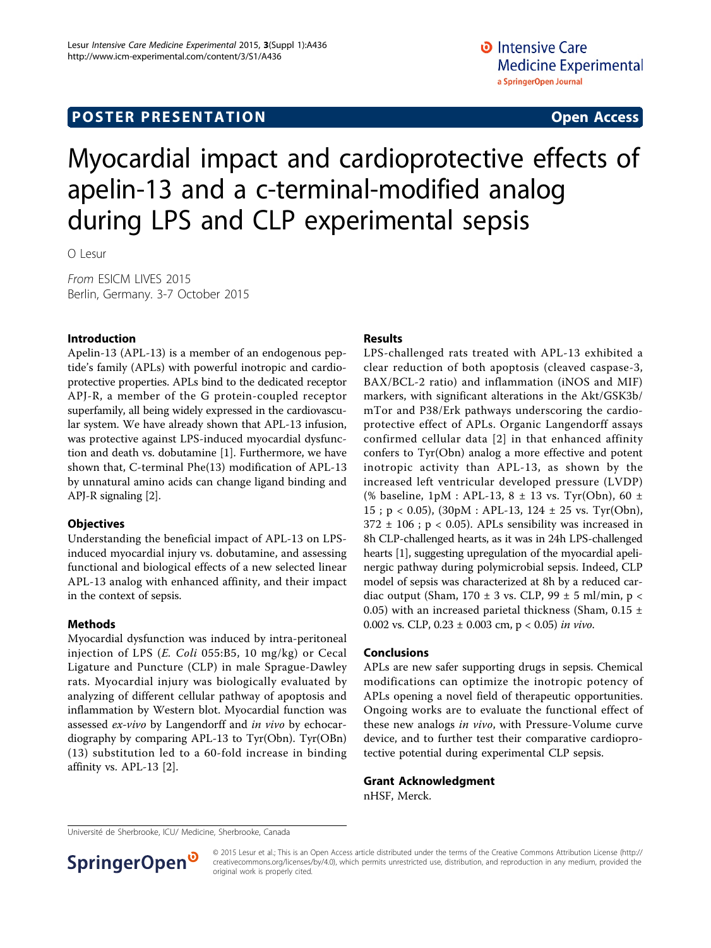# **POSTER PRESENTATION CONSUMING ACCESS**

# Myocardial impact and cardioprotective effects of apelin-13 and a c-terminal-modified analog during LPS and CLP experimental sepsis

O Lesur

From ESICM LIVES 2015 Berlin, Germany. 3-7 October 2015

## Introduction

Apelin-13 (APL-13) is a member of an endogenous peptide's family (APLs) with powerful inotropic and cardioprotective properties. APLs bind to the dedicated receptor APJ-R, a member of the G protein-coupled receptor superfamily, all being widely expressed in the cardiovascular system. We have already shown that APL-13 infusion, was protective against LPS-induced myocardial dysfunction and death vs. dobutamine [[1](#page-1-0)]. Furthermore, we have shown that, C-terminal Phe(13) modification of APL-13 by unnatural amino acids can change ligand binding and APJ-R signaling [[2\]](#page-1-0).

## **Objectives**

Understanding the beneficial impact of APL-13 on LPSinduced myocardial injury vs. dobutamine, and assessing functional and biological effects of a new selected linear APL-13 analog with enhanced affinity, and their impact in the context of sepsis.

## Methods

Myocardial dysfunction was induced by intra-peritoneal injection of LPS  $(E. \text{Col}i\ 055: B5, 10 \text{ mg/kg})$  or Cecal Ligature and Puncture (CLP) in male Sprague-Dawley rats. Myocardial injury was biologically evaluated by analyzing of different cellular pathway of apoptosis and inflammation by Western blot. Myocardial function was assessed ex-vivo by Langendorff and in vivo by echocardiography by comparing APL-13 to Tyr(Obn). Tyr(OBn) (13) substitution led to a 60-fold increase in binding affinity vs. APL-13 [\[2](#page-1-0)].

## Results

LPS-challenged rats treated with APL-13 exhibited a clear reduction of both apoptosis (cleaved caspase-3, BAX/BCL-2 ratio) and inflammation (iNOS and MIF) markers, with significant alterations in the Akt/GSK3b/ mTor and P38/Erk pathways underscoring the cardioprotective effect of APLs. Organic Langendorff assays confirmed cellular data [[2](#page-1-0)] in that enhanced affinity confers to Tyr(Obn) analog a more effective and potent inotropic activity than APL-13, as shown by the increased left ventricular developed pressure (LVDP) (% baseline, 1pM : APL-13, 8 ± 13 vs. Tyr(Obn), 60 ± 15 ; p < 0.05), (30pM : APL-13, 124 ± 25 vs. Tyr(Obn),  $372 \pm 106$ ; p < 0.05). APLs sensibility was increased in 8h CLP-challenged hearts, as it was in 24h LPS-challenged hearts [[1](#page-1-0)], suggesting upregulation of the myocardial apelinergic pathway during polymicrobial sepsis. Indeed, CLP model of sepsis was characterized at 8h by a reduced cardiac output (Sham,  $170 \pm 3$  vs. CLP,  $99 \pm 5$  ml/min, p < 0.05) with an increased parietal thickness (Sham,  $0.15 \pm$ 0.002 vs. CLP,  $0.23 \pm 0.003$  cm,  $p < 0.05$ ) in vivo.

## Conclusions

APLs are new safer supporting drugs in sepsis. Chemical modifications can optimize the inotropic potency of APLs opening a novel field of therapeutic opportunities. Ongoing works are to evaluate the functional effect of these new analogs in vivo, with Pressure-Volume curve device, and to further test their comparative cardioprotective potential during experimental CLP sepsis.

Grant Acknowledgment nHSF, Merck.

Université de Sherbrooke, ICU/ Medicine, Sherbrooke, Canada



© 2015 Lesur et al.; This is an Open Access article distributed under the terms of the Creative Commons Attribution License [\(http://](http://creativecommons.org/licenses/by/4.0) [creativecommons.org/licenses/by/4.0](http://creativecommons.org/licenses/by/4.0)), which permits unrestricted use, distribution, and reproduction in any medium, provided the original work is properly cited.